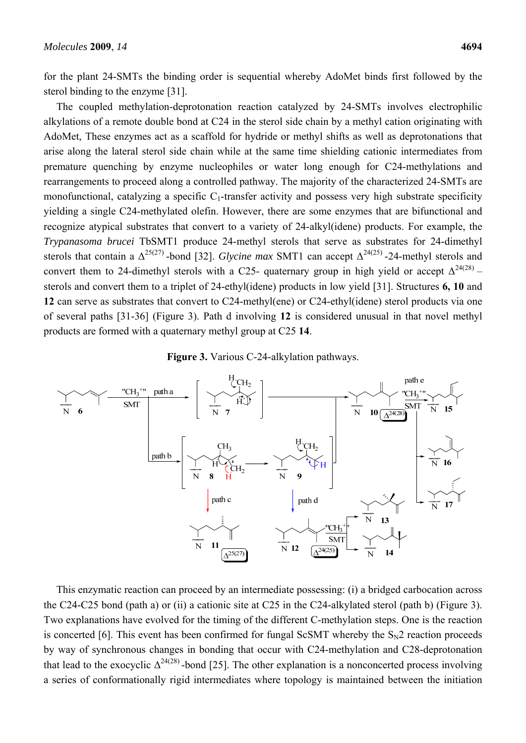for the plant 24-SMTs the binding order is sequential whereby AdoMet binds first followed by the sterol binding to the enzyme [31].

The coupled methylation-deprotonation reaction catalyzed by 24-SMTs involves electrophilic alkylations of a remote double bond at C24 in the sterol side chain by a methyl cation originating with AdoMet, These enzymes act as a scaffold for hydride or methyl shifts as well as deprotonations that arise along the lateral sterol side chain while at the same time shielding cationic intermediates from premature quenching by enzyme nucleophiles or water long enough for C24-methylations and rearrangements to proceed along a controlled pathway. The majority of the characterized 24-SMTs are monofunctional, catalyzing a specific  $C_1$ -transfer activity and possess very high substrate specificity yielding a single C24-methylated olefin. However, there are some enzymes that are bifunctional and recognize atypical substrates that convert to a variety of 24-alkyl(idene) products. For example, the *Trypanasoma brucei* TbSMT1 produce 24-methyl sterols that serve as substrates for 24-dimethyl sterols that contain a  $\Delta^{25(27)}$ -bond [32]. *Glycine max* SMT1 can accept  $\Delta^{24(25)}$ -24-methyl sterols and convert them to 24-dimethyl sterols with a C25- quaternary group in high yield or accept  $\Delta^{24(28)}$  – sterols and convert them to a triplet of 24-ethyl(idene) products in low yield [31]. Structures **6, 10** and **12** can serve as substrates that convert to C24-methyl(ene) or C24-ethyl(idene) sterol products via one of several paths [31-36] (Figure 3). Path d involving **12** is considered unusual in that novel methyl products are formed with a quaternary methyl group at C25 **14**.





This enzymatic reaction can proceed by an intermediate possessing: (i) a bridged carbocation across the C24-C25 bond (path a) or (ii) a cationic site at C25 in the C24-alkylated sterol (path b) (Figure 3). Two explanations have evolved for the timing of the different C-methylation steps. One is the reaction is concerted [6]. This event has been confirmed for fungal ScSMT whereby the  $S_N2$  reaction proceeds by way of synchronous changes in bonding that occur with C24-methylation and C28-deprotonation that lead to the exocyclic  $\Delta^{24(28)}$ -bond [25]. The other explanation is a nonconcerted process involving a series of conformationally rigid intermediates where topology is maintained between the initiation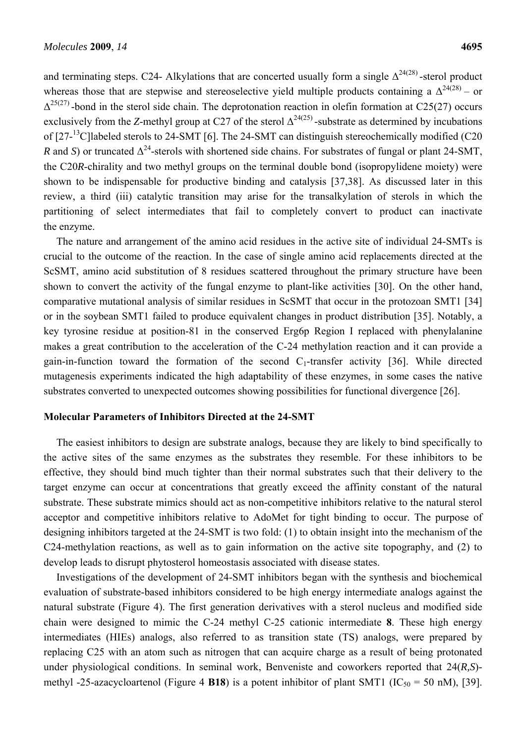and terminating steps. C24- Alkylations that are concerted usually form a single  $\Delta^{24(28)}$ -sterol product whereas those that are stepwise and stereoselective yield multiple products containing a  $\Delta^{24(28)}$  – or  $\Delta^{25(27)}$ -bond in the sterol side chain. The deprotonation reaction in olefin formation at C25(27) occurs exclusively from the *Z*-methyl group at C27 of the sterol  $\Delta^{24(25)}$ -substrate as determined by incubations of [27-<sup>13</sup>C]labeled sterols to 24-SMT [6]. The 24-SMT can distinguish stereochemically modified (C20) *R* and *S*) or truncated  $\Delta^{24}$ -sterols with shortened side chains. For substrates of fungal or plant 24-SMT, the C20*R*-chirality and two methyl groups on the terminal double bond (isopropylidene moiety) were shown to be indispensable for productive binding and catalysis [37,38]. As discussed later in this review, a third (iii) catalytic transition may arise for the transalkylation of sterols in which the partitioning of select intermediates that fail to completely convert to product can inactivate the enzyme.

The nature and arrangement of the amino acid residues in the active site of individual 24-SMTs is crucial to the outcome of the reaction. In the case of single amino acid replacements directed at the ScSMT, amino acid substitution of 8 residues scattered throughout the primary structure have been shown to convert the activity of the fungal enzyme to plant-like activities [30]. On the other hand, comparative mutational analysis of similar residues in ScSMT that occur in the protozoan SMT1 [34] or in the soybean SMT1 failed to produce equivalent changes in product distribution [35]. Notably, a key tyrosine residue at position-81 in the conserved Erg6p Region I replaced with phenylalanine makes a great contribution to the acceleration of the C-24 methylation reaction and it can provide a gain-in-function toward the formation of the second  $C_1$ -transfer activity [36]. While directed mutagenesis experiments indicated the high adaptability of these enzymes, in some cases the native substrates converted to unexpected outcomes showing possibilities for functional divergence [26].

# **Molecular Parameters of Inhibitors Directed at the 24-SMT**

The easiest inhibitors to design are substrate analogs, because they are likely to bind specifically to the active sites of the same enzymes as the substrates they resemble. For these inhibitors to be effective, they should bind much tighter than their normal substrates such that their delivery to the target enzyme can occur at concentrations that greatly exceed the affinity constant of the natural substrate. These substrate mimics should act as non-competitive inhibitors relative to the natural sterol acceptor and competitive inhibitors relative to AdoMet for tight binding to occur. The purpose of designing inhibitors targeted at the 24-SMT is two fold: (1) to obtain insight into the mechanism of the C24-methylation reactions, as well as to gain information on the active site topography, and (2) to develop leads to disrupt phytosterol homeostasis associated with disease states.

Investigations of the development of 24-SMT inhibitors began with the synthesis and biochemical evaluation of substrate-based inhibitors considered to be high energy intermediate analogs against the natural substrate (Figure 4). The first generation derivatives with a sterol nucleus and modified side chain were designed to mimic the C-24 methyl C-25 cationic intermediate **8**. These high energy intermediates (HIEs) analogs, also referred to as transition state (TS) analogs, were prepared by replacing C25 with an atom such as nitrogen that can acquire charge as a result of being protonated under physiological conditions. In seminal work, Benveniste and coworkers reported that 24(*R,S*) methyl -25-azacycloartenol (Figure 4 **B18**) is a potent inhibitor of plant SMT1 ( $IC_{50} = 50$  nM), [39].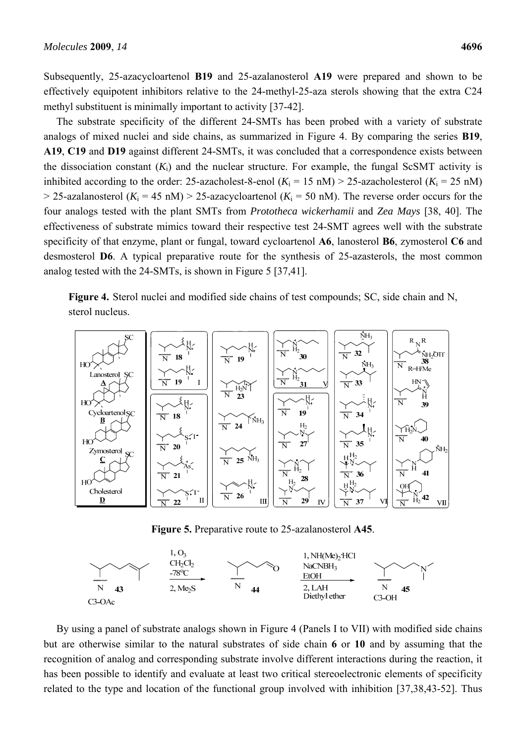Subsequently, 25-azacycloartenol **B19** and 25-azalanosterol **A19** were prepared and shown to be effectively equipotent inhibitors relative to the 24-methyl-25-aza sterols showing that the extra C24 methyl substituent is minimally important to activity [37-42].

The substrate specificity of the different 24-SMTs has been probed with a variety of substrate analogs of mixed nuclei and side chains, as summarized in Figure 4. By comparing the series **B19**, **A19**, **C19** and **D19** against different 24-SMTs, it was concluded that a correspondence exists between the dissociation constant  $(K_i)$  and the nuclear structure. For example, the fungal ScSMT activity is inhibited according to the order: 25-azacholest-8-enol  $(K_i = 15 \text{ nM}) > 25$ -azacholesterol  $(K_i = 25 \text{ nM})$  $>$  25-azalanosterol ( $K_i$  = 45 nM)  $>$  25-azacycloartenol ( $K_i$  = 50 nM). The reverse order occurs for the four analogs tested with the plant SMTs from *Prototheca wickerhamii* and *Zea Mays* [38, 40]. The effectiveness of substrate mimics toward their respective test 24-SMT agrees well with the substrate specificity of that enzyme, plant or fungal, toward cycloartenol **A6**, lanosterol **B6**, zymosterol **C6** and desmosterol **D6**. A typical preparative route for the synthesis of 25-azasterols, the most common analog tested with the 24-SMTs, is shown in Figure 5 [37,41].

**Figure 4.** Sterol nuclei and modified side chains of test compounds; SC, side chain and N, sterol nucleus.



**Figure 5.** Preparative route to 25-azalanosterol **A45**.



By using a panel of substrate analogs shown in Figure 4 (Panels I to VII) with modified side chains but are otherwise similar to the natural substrates of side chain **6** or **10** and by assuming that the recognition of analog and corresponding substrate involve different interactions during the reaction, it has been possible to identify and evaluate at least two critical stereoelectronic elements of specificity related to the type and location of the functional group involved with inhibition [37,38,43-52]. Thus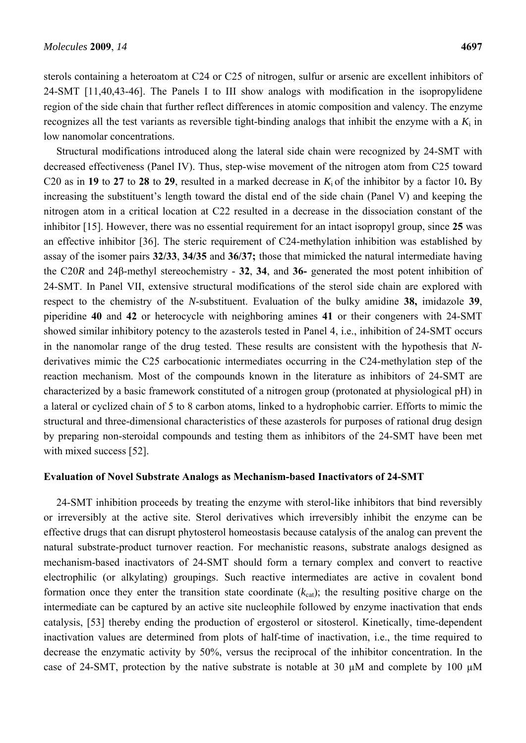sterols containing a heteroatom at C24 or C25 of nitrogen, sulfur or arsenic are excellent inhibitors of 24-SMT [11,40,43-46]. The Panels I to III show analogs with modification in the isopropylidene region of the side chain that further reflect differences in atomic composition and valency. The enzyme recognizes all the test variants as reversible tight-binding analogs that inhibit the enzyme with a  $K_i$  in low nanomolar concentrations.

Structural modifications introduced along the lateral side chain were recognized by 24-SMT with decreased effectiveness (Panel IV). Thus, step-wise movement of the nitrogen atom from C25 toward C20 as in **19** to **27** to **28** to **29**, resulted in a marked decrease in  $K_i$  of the inhibitor by a factor 10. By increasing the substituent's length toward the distal end of the side chain (Panel V) and keeping the nitrogen atom in a critical location at C22 resulted in a decrease in the dissociation constant of the inhibitor [15]. However, there was no essential requirement for an intact isopropyl group, since **25** was an effective inhibitor [36]. The steric requirement of C24-methylation inhibition was established by assay of the isomer pairs **32/33**, **34/35** and **36/37;** those that mimicked the natural intermediate having the C20*R* and 24β-methyl stereochemistry - **32**, **34**, and **36-** generated the most potent inhibition of 24-SMT. In Panel VII, extensive structural modifications of the sterol side chain are explored with respect to the chemistry of the *N*-substituent. Evaluation of the bulky amidine **38,** imidazole **39**, piperidine **40** and **42** or heterocycle with neighboring amines **41** or their congeners with 24-SMT showed similar inhibitory potency to the azasterols tested in Panel 4, i.e., inhibition of 24-SMT occurs in the nanomolar range of the drug tested. These results are consistent with the hypothesis that *N*derivatives mimic the C25 carbocationic intermediates occurring in the C24-methylation step of the reaction mechanism. Most of the compounds known in the literature as inhibitors of 24-SMT are characterized by a basic framework constituted of a nitrogen group (protonated at physiological pH) in a lateral or cyclized chain of 5 to 8 carbon atoms, linked to a hydrophobic carrier. Efforts to mimic the structural and three-dimensional characteristics of these azasterols for purposes of rational drug design by preparing non-steroidal compounds and testing them as inhibitors of the 24-SMT have been met with mixed success [52].

# **Evaluation of Novel Substrate Analogs as Mechanism-based Inactivators of 24-SMT**

24-SMT inhibition proceeds by treating the enzyme with sterol-like inhibitors that bind reversibly or irreversibly at the active site. Sterol derivatives which irreversibly inhibit the enzyme can be effective drugs that can disrupt phytosterol homeostasis because catalysis of the analog can prevent the natural substrate-product turnover reaction. For mechanistic reasons, substrate analogs designed as mechanism-based inactivators of 24-SMT should form a ternary complex and convert to reactive electrophilic (or alkylating) groupings. Such reactive intermediates are active in covalent bond formation once they enter the transition state coordinate  $(k_{cat})$ ; the resulting positive charge on the intermediate can be captured by an active site nucleophile followed by enzyme inactivation that ends catalysis, [53] thereby ending the production of ergosterol or sitosterol. Kinetically, time-dependent inactivation values are determined from plots of half-time of inactivation, i.e., the time required to decrease the enzymatic activity by 50%, versus the reciprocal of the inhibitor concentration. In the case of 24-SMT, protection by the native substrate is notable at 30 µM and complete by 100 µM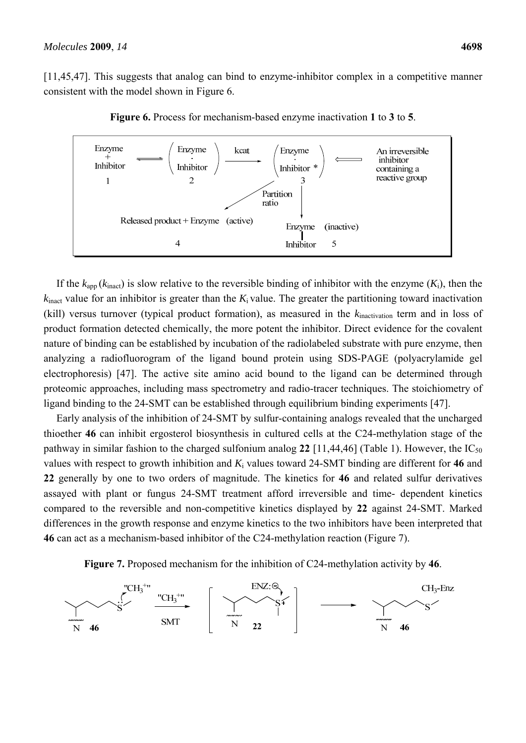[11,45,47]. This suggests that analog can bind to enzyme-inhibitor complex in a competitive manner consistent with the model shown in Figure 6.



**Figure 6.** Process for mechanism-based enzyme inactivation **1** to **3** to **5**.

If the  $k<sub>app</sub>(k<sub>inact</sub>)$  is slow relative to the reversible binding of inhibitor with the enzyme  $(K<sub>i</sub>)$ , then the  $k_{\text{inact}}$  value for an inhibitor is greater than the  $K_i$  value. The greater the partitioning toward inactivation (kill) versus turnover (typical product formation), as measured in the *k*inactivation term and in loss of product formation detected chemically, the more potent the inhibitor. Direct evidence for the covalent nature of binding can be established by incubation of the radiolabeled substrate with pure enzyme, then analyzing a radiofluorogram of the ligand bound protein using SDS-PAGE (polyacrylamide gel electrophoresis) [47]. The active site amino acid bound to the ligand can be determined through proteomic approaches, including mass spectrometry and radio-tracer techniques. The stoichiometry of ligand binding to the 24-SMT can be established through equilibrium binding experiments [47].

Early analysis of the inhibition of 24-SMT by sulfur-containing analogs revealed that the uncharged thioether **46** can inhibit ergosterol biosynthesis in cultured cells at the C24-methylation stage of the pathway in similar fashion to the charged sulfonium analog 22 [11,44,46] (Table 1). However, the  $IC_{50}$ values with respect to growth inhibition and *K*i values toward 24-SMT binding are different for **46** and **22** generally by one to two orders of magnitude. The kinetics for **46** and related sulfur derivatives assayed with plant or fungus 24-SMT treatment afford irreversible and time- dependent kinetics compared to the reversible and non-competitive kinetics displayed by **22** against 24-SMT. Marked differences in the growth response and enzyme kinetics to the two inhibitors have been interpreted that **46** can act as a mechanism-based inhibitor of the C24-methylation reaction (Figure 7).



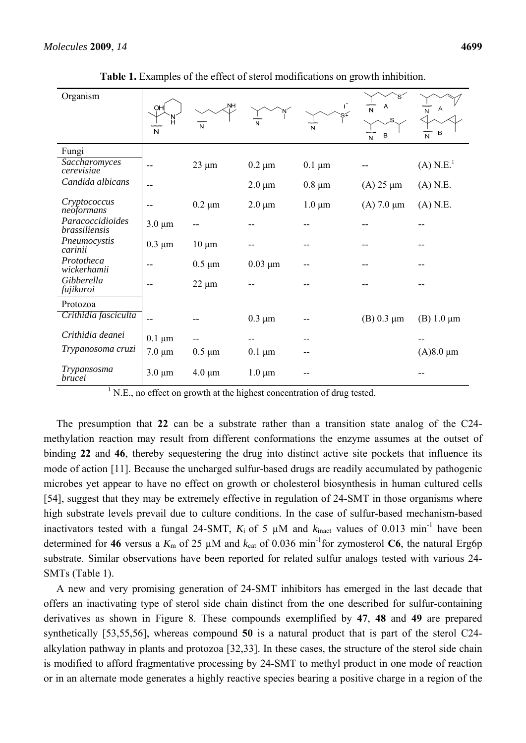| Organism                          |             |                |              |             |                   |                         |
|-----------------------------------|-------------|----------------|--------------|-------------|-------------------|-------------------------|
|                                   | OH<br>N     | <b>NH</b><br>N | N            | N           | N<br>в<br>N       | A<br>N<br>В<br>N        |
| Fungi                             |             |                |              |             |                   |                         |
| Saccharomyces<br>cerevisiae       |             | $23 \mu m$     | $0.2 \mu m$  | $0.1 \mu m$ |                   | $(A)$ N.E. <sup>1</sup> |
| Candida albicans                  |             |                | $2.0 \mu m$  | $0.8 \mu m$ | $(A)$ 25 $\mu$ m  | $(A)$ N.E.              |
| Cryptococcus<br>neoformans        |             | $0.2 \mu m$    | $2.0 \mu m$  | $1.0 \mu m$ | $(A)$ 7.0 $\mu$ m | $(A)$ N.E.              |
| Paracoccidioides<br>brassiliensis | $3.0 \mu m$ |                |              |             |                   |                         |
| Pneumocystis<br>carinii           | $0.3 \mu m$ | $10 \mu m$     |              |             |                   |                         |
| Prototheca<br>wickerhamii         |             | $0.5 \mu m$    | $0.03 \mu m$ |             |                   |                         |
| Gibberella<br>fujikuroi           |             | $22 \mu m$     |              |             |                   |                         |
| Protozoa                          |             |                |              |             |                   |                         |
| Crithidia fasciculta              | --          |                | $0.3 \mu m$  |             | (B) $0.3 \mu m$   | (B) $1.0 \mu m$         |
| Crithidia deanei                  | $0.1 \mu m$ |                |              |             |                   |                         |
| Trypanosoma cruzi                 | $7.0 \mu m$ | $0.5 \mu m$    | $0.1 \mu m$  |             |                   | $(A)8.0 \mu m$          |
| Trypansosma<br><i>brucei</i>      | $3.0 \mu m$ | $4.0 \mu m$    | $1.0 \mu m$  |             |                   |                         |

**Table 1.** Examples of the effect of sterol modifications on growth inhibition.

 $<sup>1</sup>$  N.E., no effect on growth at the highest concentration of drug tested.</sup>

The presumption that **22** can be a substrate rather than a transition state analog of the C24 methylation reaction may result from different conformations the enzyme assumes at the outset of binding **22** and **46**, thereby sequestering the drug into distinct active site pockets that influence its mode of action [11]. Because the uncharged sulfur-based drugs are readily accumulated by pathogenic microbes yet appear to have no effect on growth or cholesterol biosynthesis in human cultured cells [54], suggest that they may be extremely effective in regulation of 24-SMT in those organisms where high substrate levels prevail due to culture conditions. In the case of sulfur-based mechanism-based inactivators tested with a fungal 24-SMT,  $K_i$  of 5  $\mu$ M and  $k_{\text{inact}}$  values of 0.013 min<sup>-1</sup> have been determined for 46 versus a  $K_m$  of 25  $\mu$ M and  $k_{cat}$  of 0.036 min<sup>-1</sup>for zymosterol C6, the natural Erg6p substrate. Similar observations have been reported for related sulfur analogs tested with various 24- SMTs (Table 1).

A new and very promising generation of 24-SMT inhibitors has emerged in the last decade that offers an inactivating type of sterol side chain distinct from the one described for sulfur-containing derivatives as shown in Figure 8. These compounds exemplified by **47**, **48** and **49** are prepared synthetically [53,55,56], whereas compound **50** is a natural product that is part of the sterol C24 alkylation pathway in plants and protozoa [32,33]. In these cases, the structure of the sterol side chain is modified to afford fragmentative processing by 24-SMT to methyl product in one mode of reaction or in an alternate mode generates a highly reactive species bearing a positive charge in a region of the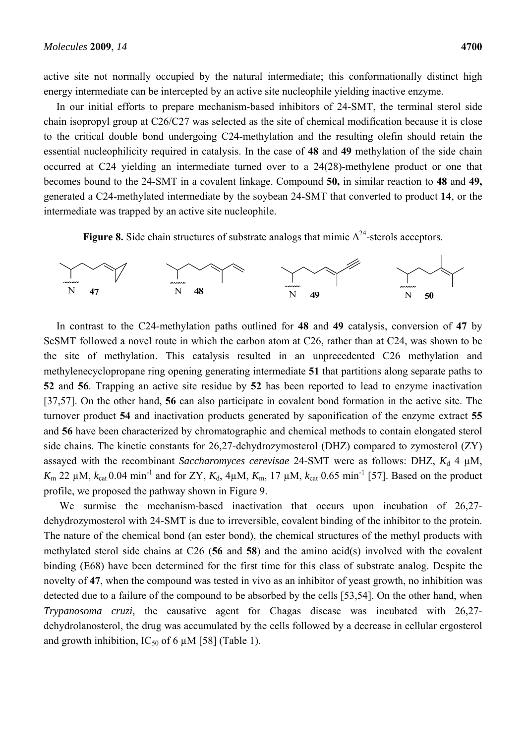active site not normally occupied by the natural intermediate; this conformationally distinct high energy intermediate can be intercepted by an active site nucleophile yielding inactive enzyme.

In our initial efforts to prepare mechanism-based inhibitors of 24-SMT, the terminal sterol side chain isopropyl group at C26/C27 was selected as the site of chemical modification because it is close to the critical double bond undergoing C24-methylation and the resulting olefin should retain the essential nucleophilicity required in catalysis. In the case of **48** and **49** methylation of the side chain occurred at C24 yielding an intermediate turned over to a 24(28)-methylene product or one that becomes bound to the 24-SMT in a covalent linkage. Compound **50,** in similar reaction to **48** and **49,** generated a C24-methylated intermediate by the soybean 24-SMT that converted to product **14**, or the intermediate was trapped by an active site nucleophile.

**Figure 8.** Side chain structures of substrate analogs that mimic  $\Delta^{24}$ -sterols acceptors.



In contrast to the C24-methylation paths outlined for **48** and **49** catalysis, conversion of **47** by ScSMT followed a novel route in which the carbon atom at C26, rather than at C24, was shown to be the site of methylation. This catalysis resulted in an unprecedented C26 methylation and methylenecyclopropane ring opening generating intermediate **51** that partitions along separate paths to **52** and **56**. Trapping an active site residue by **52** has been reported to lead to enzyme inactivation [37,57]. On the other hand, **56** can also participate in covalent bond formation in the active site. The turnover product **54** and inactivation products generated by saponification of the enzyme extract **55** and **56** have been characterized by chromatographic and chemical methods to contain elongated sterol side chains. The kinetic constants for 26,27-dehydrozymosterol (DHZ) compared to zymosterol (ZY) assayed with the recombinant *Saccharomyces cerevisae* 24-SMT were as follows: DHZ,  $K_d$  4  $\mu$ M, *K*<sub>m</sub> 22 μM,  $k_{cat}$  0.04 min<sup>-1</sup> and for ZY,  $K_d$ , 4μM,  $K_m$ , 17 μM,  $k_{cat}$  0.65 min<sup>-1</sup> [57]. Based on the product profile, we proposed the pathway shown in Figure 9.

We surmise the mechanism-based inactivation that occurs upon incubation of 26,27dehydrozymosterol with 24-SMT is due to irreversible, covalent binding of the inhibitor to the protein. The nature of the chemical bond (an ester bond), the chemical structures of the methyl products with methylated sterol side chains at C26 (**56** and **58**) and the amino acid(s) involved with the covalent binding (E68) have been determined for the first time for this class of substrate analog. Despite the novelty of **47**, when the compound was tested in vivo as an inhibitor of yeast growth, no inhibition was detected due to a failure of the compound to be absorbed by the cells [53,54]. On the other hand, when *Trypanosoma cruzi,* the causative agent for Chagas disease was incubated with 26,27 dehydrolanosterol, the drug was accumulated by the cells followed by a decrease in cellular ergosterol and growth inhibition,  $IC_{50}$  of 6  $\mu$ M [58] (Table 1).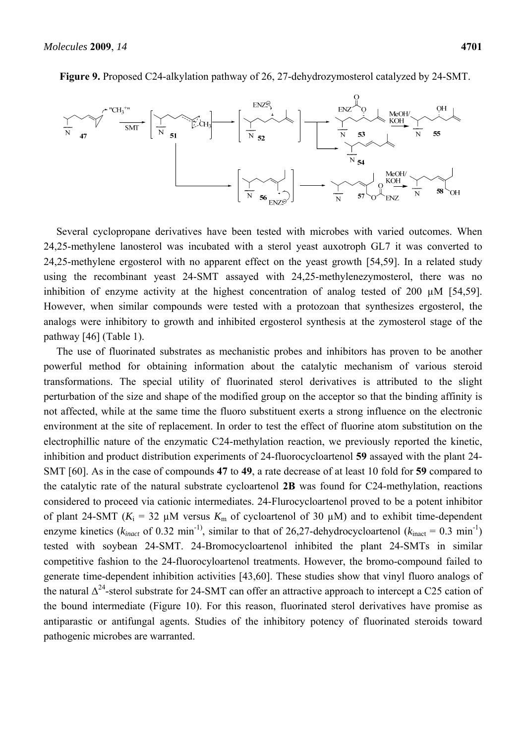

**Figure 9.** Proposed C24-alkylation pathway of 26, 27-dehydrozymosterol catalyzed by 24-SMT.

Several cyclopropane derivatives have been tested with microbes with varied outcomes. When 24,25-methylene lanosterol was incubated with a sterol yeast auxotroph GL7 it was converted to 24,25-methylene ergosterol with no apparent effect on the yeast growth [54,59]. In a related study using the recombinant yeast 24-SMT assayed with 24,25-methylenezymosterol, there was no inhibition of enzyme activity at the highest concentration of analog tested of 200 µM [54,59]. However, when similar compounds were tested with a protozoan that synthesizes ergosterol, the analogs were inhibitory to growth and inhibited ergosterol synthesis at the zymosterol stage of the pathway [46] (Table 1).

The use of fluorinated substrates as mechanistic probes and inhibitors has proven to be another powerful method for obtaining information about the catalytic mechanism of various steroid transformations. The special utility of fluorinated sterol derivatives is attributed to the slight perturbation of the size and shape of the modified group on the acceptor so that the binding affinity is not affected, while at the same time the fluoro substituent exerts a strong influence on the electronic environment at the site of replacement. In order to test the effect of fluorine atom substitution on the electrophillic nature of the enzymatic C24-methylation reaction, we previously reported the kinetic, inhibition and product distribution experiments of 24-fluorocycloartenol **59** assayed with the plant 24- SMT [60]. As in the case of compounds **47** to **49**, a rate decrease of at least 10 fold for **59** compared to the catalytic rate of the natural substrate cycloartenol **2B** was found for C24-methylation, reactions considered to proceed via cationic intermediates. 24-Flurocycloartenol proved to be a potent inhibitor of plant 24-SMT ( $K_i = 32 \mu M$  versus  $K_m$  of cycloartenol of 30  $\mu$ M) and to exhibit time-dependent enzyme kinetics ( $k_{inact}$  of 0.32 min<sup>-1)</sup>, similar to that of 26,27-dehydrocycloartenol ( $k_{inact} = 0.3$  min<sup>-1</sup>) tested with soybean 24-SMT. 24-Bromocycloartenol inhibited the plant 24-SMTs in similar competitive fashion to the 24-fluorocyloartenol treatments. However, the bromo-compound failed to generate time-dependent inhibition activities [43,60]. These studies show that vinyl fluoro analogs of the natural  $\Delta^{24}$ -sterol substrate for 24-SMT can offer an attractive approach to intercept a C25 cation of the bound intermediate (Figure 10). For this reason, fluorinated sterol derivatives have promise as antiparastic or antifungal agents. Studies of the inhibitory potency of fluorinated steroids toward pathogenic microbes are warranted.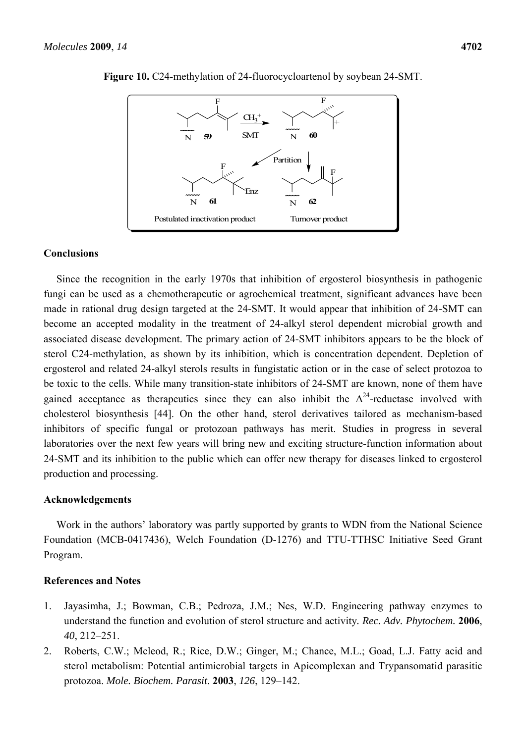

**Figure 10.** C24-methylation of 24-fluorocycloartenol by soybean 24-SMT.

#### **Conclusions**

Since the recognition in the early 1970s that inhibition of ergosterol biosynthesis in pathogenic fungi can be used as a chemotherapeutic or agrochemical treatment, significant advances have been made in rational drug design targeted at the 24-SMT. It would appear that inhibition of 24-SMT can become an accepted modality in the treatment of 24-alkyl sterol dependent microbial growth and associated disease development. The primary action of 24-SMT inhibitors appears to be the block of sterol C24-methylation, as shown by its inhibition, which is concentration dependent. Depletion of ergosterol and related 24-alkyl sterols results in fungistatic action or in the case of select protozoa to be toxic to the cells. While many transition-state inhibitors of 24-SMT are known, none of them have gained acceptance as therapeutics since they can also inhibit the  $\Delta^{24}$ -reductase involved with cholesterol biosynthesis [44]. On the other hand, sterol derivatives tailored as mechanism-based inhibitors of specific fungal or protozoan pathways has merit. Studies in progress in several laboratories over the next few years will bring new and exciting structure-function information about 24-SMT and its inhibition to the public which can offer new therapy for diseases linked to ergosterol production and processing.

# **Acknowledgements**

Work in the authors' laboratory was partly supported by grants to WDN from the National Science Foundation (MCB-0417436), Welch Foundation (D-1276) and TTU-TTHSC Initiative Seed Grant Program.

### **References and Notes**

- 1. Jayasimha, J.; Bowman, C.B.; Pedroza, J.M.; Nes, W.D. Engineering pathway enzymes to understand the function and evolution of sterol structure and activity*. Rec. Adv. Phytochem.* **2006**, *40*, 212–251.
- 2. Roberts, C.W.; Mcleod, R.; Rice, D.W.; Ginger, M.; Chance, M.L.; Goad, L.J. Fatty acid and sterol metabolism: Potential antimicrobial targets in Apicomplexan and Trypansomatid parasitic protozoa. *Mole. Biochem. Parasit*. **2003**, *126*, 129–142.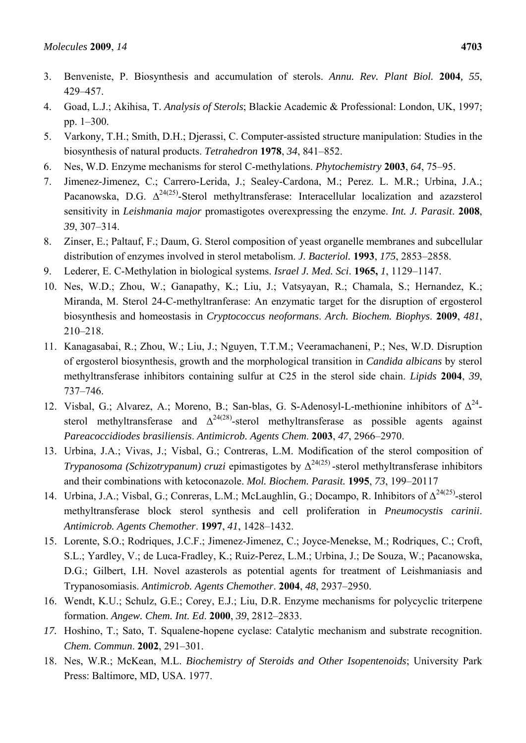- 4. Goad, L.J.; Akihisa, T. *Analysis of Sterols*; Blackie Academic & Professional: London, UK, 1997; pp. 1–300.
- 5. Varkony, T.H.; Smith, D.H.; Djerassi, C. Computer-assisted structure manipulation: Studies in the biosynthesis of natural products. *Tetrahedron* **1978**, *34*, 841–852.
- 6. Nes, W.D. Enzyme mechanisms for sterol C-methylations. *Phytochemistry* **2003**, *64*, 75–95.
- 7. Jimenez-Jimenez, C.; Carrero-Lerida, J.; Sealey-Cardona, M.; Perez. L. M.R.; Urbina, J.A.; Pacanowska, D.G.  $\Delta^{24(25)}$ -Sterol methyltransferase: Interacellular localization and azazsterol sensitivity in *Leishmania major* promastigotes overexpressing the enzyme. *Int. J. Parasit*. **2008**, *39*, 307–314.
- 8. Zinser, E.; Paltauf, F.; Daum, G. Sterol composition of yeast organelle membranes and subcellular distribution of enzymes involved in sterol metabolism. *J. Bacteriol.* **1993**, *175*, 2853–2858.
- 9. Lederer, E. C-Methylation in biological systems. *Israel J. Med. Sci*. **1965,** *1*, 1129–1147.
- 10. Nes, W.D.; Zhou, W.; Ganapathy, K.; Liu, J.; Vatsyayan, R.; Chamala, S.; Hernandez, K.; Miranda, M. Sterol 24-C-methyltranferase: An enzymatic target for the disruption of ergosterol biosynthesis and homeostasis in *Cryptococcus neoformans*. *Arch. Biochem. Biophys*. **2009**, *481*, 210–218.
- 11. Kanagasabai, R.; Zhou, W.; Liu, J.; Nguyen, T.T.M.; Veeramachaneni, P.; Nes, W.D. Disruption of ergosterol biosynthesis, growth and the morphological transition in *Candida albicans* by sterol methyltransferase inhibitors containing sulfur at C25 in the sterol side chain. *Lipids* **2004**, *39*, 737–746.
- 12. Visbal, G.; Alvarez, A.; Moreno, B.; San-blas, G. S-Adenosyl-L-methionine inhibitors of  $\Delta^{24}$ sterol methyltransferase and  $\Delta^{24(28)}$ -sterol methyltransferase as possible agents against *Pareacoccidiodes brasiliensis*. *Antimicrob. Agents Chem*. **2003**, *47*, 2966–2970.
- 13. Urbina, J.A.; Vivas, J.; Visbal, G.; Contreras, L.M. Modification of the sterol composition of *Trypanosoma (Schizotrypanum) cruzi* epimastigotes by  $\Delta^{24(25)}$ -sterol methyltransferase inhibitors and their combinations with ketoconazole. *Mol. Biochem. Parasit.* **1995**, *73*, 199–20117
- 14. Urbina, J.A.; Visbal, G.; Conreras, L.M.; McLaughlin, G.; Docampo, R. Inhibitors of Δ24(25)-sterol methyltransferase block sterol synthesis and cell proliferation in *Pneumocystis carinii*. *Antimicrob. Agents Chemother*. **1997**, *41*, 1428–1432.
- 15. Lorente, S.O.; Rodriques, J.C.F.; Jimenez-Jimenez, C.; Joyce-Menekse, M.; Rodriques, C.; Croft, S.L.; Yardley, V.; de Luca-Fradley, K.; Ruiz-Perez, L.M.; Urbina, J.; De Souza, W.; Pacanowska, D.G.; Gilbert, I.H. Novel azasterols as potential agents for treatment of Leishmaniasis and Trypanosomiasis. *Antimicrob. Agents Chemother*. **2004**, *48*, 2937–2950.
- 16. Wendt, K.U.; Schulz, G.E.; Corey, E.J.; Liu, D.R. Enzyme mechanisms for polycyclic triterpene formation. *Angew. Chem. Int. Ed*. **2000**, *39*, 2812–2833.
- *17.* Hoshino, T.; Sato, T. Squalene-hopene cyclase: Catalytic mechanism and substrate recognition. *Chem. Commun*. **2002**, 291–301.
- 18. Nes, W.R.; McKean, M.L. *Biochemistry of Steroids and Other Isopentenoids*; University Park Press: Baltimore, MD, USA. 1977.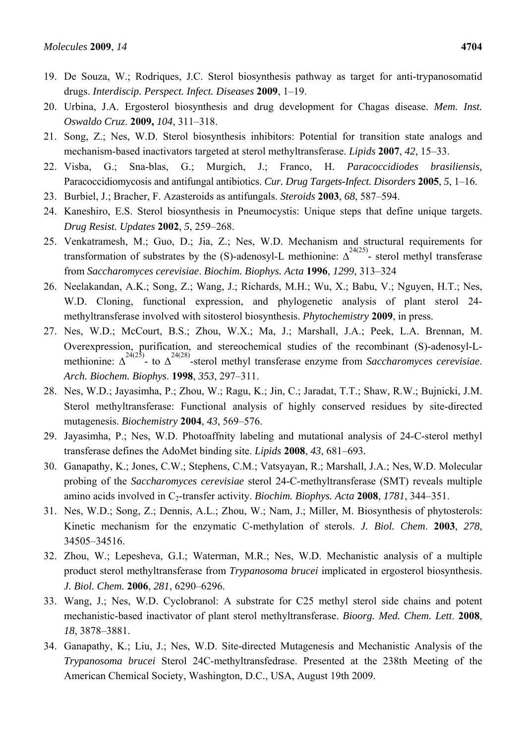- 19. De Souza, W.; Rodriques, J.C. Sterol biosynthesis pathway as target for anti-trypanosomatid drugs. *Interdiscip. Perspect. Infect. Diseases* **2009**, 1–19.
- 20. Urbina, J.A. Ergosterol biosynthesis and drug development for Chagas disease. *Mem. Inst. Oswaldo Cruz*. **2009,** *104*, 311–318.
- 21. Song, Z.; Nes, W.D. Sterol biosynthesis inhibitors: Potential for transition state analogs and mechanism-based inactivators targeted at sterol methyltransferase. *Lipids* **2007**, *42*, 15–33.
- 22. Visba, G.; Sna-blas, G.; Murgich, J.; Franco, H. *Paracoccidiodes brasiliensis,*  Paracoccidiomycosis and antifungal antibiotics. *Cur. Drug Targets-Infect. Disorders* **2005**, *5*, 1–16.
- 23. Burbiel, J.; Bracher, F. Azasteroids as antifungals. *Steroids* **2003**, *68*, 587–594.
- 24. Kaneshiro, E.S. Sterol biosynthesis in Pneumocystis: Unique steps that define unique targets. *Drug Resist. Updates* **2002**, *5*, 259–268.
- 25. Venkatramesh, M.; Guo, D.; Jia, Z.; Nes, W.D. Mechanism and structural requirements for transformation of substrates by the (S)-adenosyl-L methionine:  $\Delta^{^{24(25)}}$ - sterol methyl transferase from *Saccharomyces cerevisiae*. *Biochim. Biophys. Acta* **1996**, *1299*, 313–324
- 26. Neelakandan, A.K.; Song, Z.; Wang, J.; Richards, M.H.; Wu, X.; Babu, V.; Nguyen, H.T.; Nes, W.D. Cloning, functional expression, and phylogenetic analysis of plant sterol 24methyltransferase involved with sitosterol biosynthesis. *Phytochemistry* **2009**, in press.
- 27. Nes, W.D.; McCourt, B.S.; Zhou, W.X.; Ma, J.; Marshall, J.A.; Peek, L.A. Brennan, M. Overexpression, purification, and stereochemical studies of the recombinant (S)-adenosyl-Lmethionine:  $\Delta^{24(25)}$ - to  $\Delta^{24(28)}$ -sterol methyl transferase enzyme from *Saccharomyces cerevisiae*. *Arch. Biochem. Biophys*. **1998**, *353*, 297–311.
- 28. Nes, W.D.; Jayasimha, P.; Zhou, W.; Ragu, K.; Jin, C.; Jaradat, T.T.; Shaw, R.W.; Bujnicki, J.M. Sterol methyltransferase: Functional analysis of highly conserved residues by site-directed mutagenesis. *Biochemistry* **2004**, *43*, 569–576.
- 29. Jayasimha, P.; Nes, W.D. Photoaffnity labeling and mutational analysis of 24-C-sterol methyl transferase defines the AdoMet binding site. *Lipids* **2008**, *43*, 681–693*.*
- 30. Ganapathy, K.; Jones, C.W.; Stephens, C.M.; Vatsyayan, R.; Marshall, J.A.; Nes, W.D. Molecular probing of the *Saccharomyces cerevisiae* sterol 24-C-methyltransferase (SMT) reveals multiple amino acids involved in C<sub>2</sub>-transfer activity. *Biochim. Biophys. Acta* 2008, 1781, 344–351.
- 31. Nes, W.D.; Song, Z.; Dennis, A.L.; Zhou, W.; Nam, J.; Miller, M. Biosynthesis of phytosterols: Kinetic mechanism for the enzymatic C-methylation of sterols. *J. Biol. Chem*. **2003**, *278*, 34505–34516.
- 32. Zhou, W.; Lepesheva, G.I.; Waterman, M.R.; Nes, W.D. Mechanistic analysis of a multiple product sterol methyltransferase from *Trypanosoma brucei* implicated in ergosterol biosynthesis. *J. Biol. Chem.* **2006**, *281*, 6290–6296.
- 33. Wang, J.; Nes, W.D. Cyclobranol: A substrate for C25 methyl sterol side chains and potent mechanistic-based inactivator of plant sterol methyltransferase. *Bioorg. Med. Chem. Lett*. **2008**, *18*, 3878–3881.
- 34. Ganapathy, K.; Liu, J.; Nes, W.D. Site-directed Mutagenesis and Mechanistic Analysis of the *Trypanosoma brucei* Sterol 24C-methyltransfedrase. Presented at the 238th Meeting of the American Chemical Society, Washington, D.C., USA, August 19th 2009.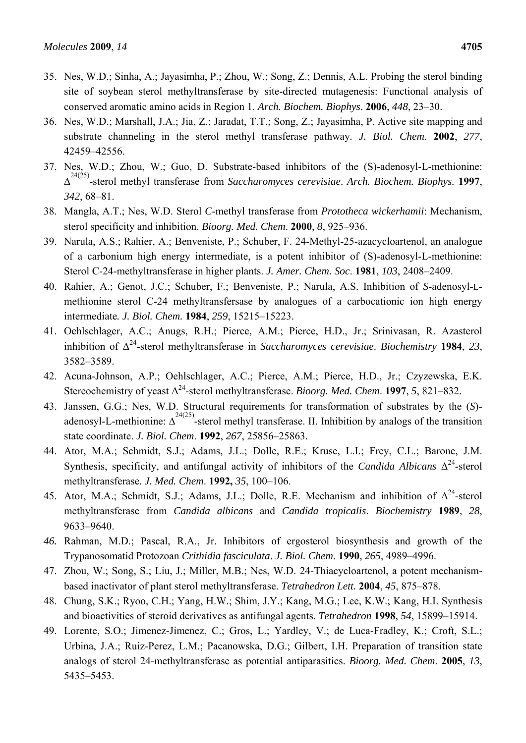- 35. Nes, W.D.; Sinha, A.; Jayasimha, P.; Zhou, W.; Song, Z.; Dennis, A.L. Probing the sterol binding site of soybean sterol methyltransferase by site-directed mutagenesis: Functional analysis of conserved aromatic amino acids in Region 1. *Arch. Biochem. Biophys*. **2006**, *448*, 23–30.
- 36. Nes, W.D.; Marshall, J.A.; Jia, Z.; Jaradat, T.T.; Song, Z.; Jayasimha, P. Active site mapping and substrate channeling in the sterol methyl transferase pathway*. J. Biol. Chem*. **2002**, *277*, 42459–42556.
- 37. Nes, W.D.; Zhou, W.; Guo, D. Substrate-based inhibitors of the (S)-adenosyl-L-methionine: ∆ 24(25) -sterol methyl transferase from *Saccharomyces cerevisiae*. *Arch. Biochem. Biophys.* **1997**, *342*, 68–81.
- 38. Mangla, A.T.; Nes, W.D. Sterol *C*-methyl transferase from *Prototheca wickerhamii*: Mechanism, sterol specificity and inhibition. *Bioorg. Med. Chem*. **2000**, *8*, 925–936.
- 39. Narula, A.S.; Rahier, A.; Benveniste, P.; Schuber, F. 24-Methyl-25-azacycloartenol, an analogue of a carbonium high energy intermediate, is a potent inhibitor of (S)-adenosyl-L-methionine: Sterol C-24-methyltransferase in higher plants. *J. Amer. Chem. Soc*. **1981**, *103*, 2408–2409.
- 40. Rahier, A.; Genot, J.C.; Schuber, F.; Benveniste, P.; Narula, A.S. Inhibition of *S*-adenosyl-Lmethionine sterol C-24 methyltransfersase by analogues of a carbocationic ion high energy intermediate*. J. Biol. Chem.* **1984**, *259*, 15215–15223.
- 41. Oehlschlager, A.C.; Anugs, R.H.; Pierce, A.M.; Pierce, H.D., Jr.; Srinivasan, R. Azasterol inhibition of Δ24-sterol methyltransferase in *Saccharomyces cerevisiae*. *Biochemistry* **1984**, *23*, 3582–3589.
- 42. Acuna-Johnson, A.P.; Oehlschlager, A.C.; Pierce, A.M.; Pierce, H.D., Jr.; Czyzewska, E.K. Stereochemistry of yeast  $\Delta^{24}$ -sterol methyltransferase. *Bioorg. Med. Chem.* **1997**, *5*, 821–832.
- 43. Janssen, G.G.; Nes, W.D. Structural requirements for transformation of substrates by the (*S*) adenosyl-L-methionine:  $\Delta^{^{24(25)}}$ -sterol methyl transferase. II. Inhibition by analogs of the transition state coordinate. *J. Biol. Chem*. **1992**, *267*, 25856–25863.
- 44. Ator, M.A.; Schmidt, S.J.; Adams, J.L.; Dolle, R.E.; Kruse, L.I.; Frey, C.L.; Barone, J.M. Synthesis, specificity, and antifungal activity of inhibitors of the *Candida Albicans* Δ24-sterol methyltransferase*. J. Med. Chem*. **1992,** *35*, 100–106.
- 45. Ator, M.A.; Schmidt, S.J.; Adams, J.L.; Dolle, R.E. Mechanism and inhibition of  $\Delta^{24}$ -sterol methyltransferase from *Candida albicans* and *Candida tropicalis*. *Biochemistry* **1989**, *28*, 9633–9640.
- *46.* Rahman, M.D.; Pascal, R.A., Jr. Inhibitors of ergosterol biosynthesis and growth of the Trypanosomatid Protozoan *Crithidia fasciculata*. *J. Biol. Chem*. **1990**, *265*, 4989–4996.
- 47. Zhou, W.; Song, S.; Liu, J.; Miller, M.B.; Nes, W.D. 24-Thiacycloartenol, a potent mechanismbased inactivator of plant sterol methyltransferase. *Tetrahedron Lett.* **2004**, *45*, 875–878.
- 48. Chung, S.K.; Ryoo, C.H.; Yang, H.W.; Shim, J.Y.; Kang, M.G.; Lee, K.W.; Kang, H.I. Synthesis and bioactivities of steroid derivatives as antifungal agents. *Tetrahedron* **1998**, *54*, 15899–15914.
- 49. Lorente, S.O.; Jimenez-Jimenez, C.; Gros, L.; Yardley, V.; de Luca-Fradley, K.; Croft, S.L.; Urbina, J.A.; Ruiz-Perez, L.M.; Pacanowska, D.G.; Gilbert, I.H. Preparation of transition state analogs of sterol 24-methyltransferase as potential antiparasitics. *Bioorg. Med. Chem*. **2005**, *13*, 5435–5453.